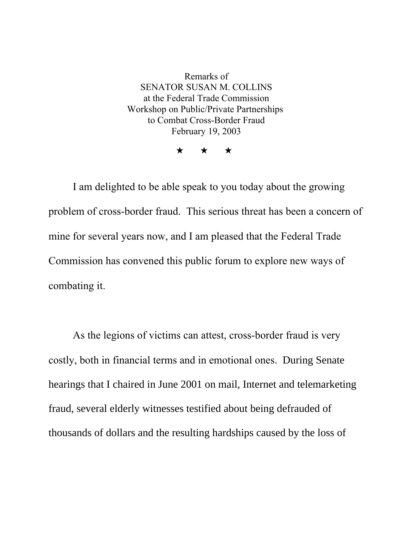Remarks of SENATOR SUSAN M. COLLINS at the Federal Trade Commission Workshop on Public/Private Partnerships to Combat Cross-Border Fraud February 19, 2003

 $\star$   $\star$   $\star$ 

I am delighted to be able speak to you today about the growing problem of cross-border fraud. This serious threat has been a concern of mine for several years now, and I am pleased that the Federal Trade Commission has convened this public forum to explore new ways of combating it.

As the legions of victims can attest, cross-border fraud is very costly, both in financial terms and in emotional ones. During Senate hearings that I chaired in June 2001 on mail, Internet and telemarketing fraud, several elderly witnesses testified about being defrauded of thousands of dollars and the resulting hardships caused by the loss of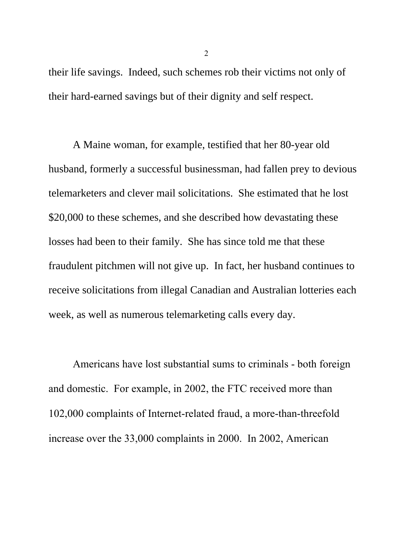their life savings. Indeed, such schemes rob their victims not only of their hard-earned savings but of their dignity and self respect.

A Maine woman, for example, testified that her 80-year old husband, formerly a successful businessman, had fallen prey to devious telemarketers and clever mail solicitations. She estimated that he lost \$20,000 to these schemes, and she described how devastating these losses had been to their family. She has since told me that these fraudulent pitchmen will not give up. In fact, her husband continues to receive solicitations from illegal Canadian and Australian lotteries each week, as well as numerous telemarketing calls every day.

Americans have lost substantial sums to criminals - both foreign and domestic. For example, in 2002, the FTC received more than 102,000 complaints of Internet-related fraud, a more-than-threefold increase over the 33,000 complaints in 2000. In 2002, American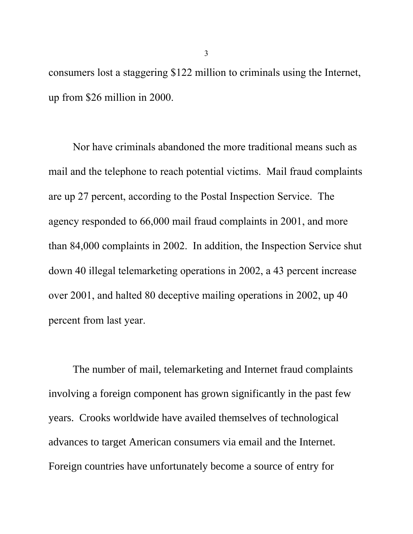consumers lost a staggering \$122 million to criminals using the Internet, up from \$26 million in 2000.

Nor have criminals abandoned the more traditional means such as mail and the telephone to reach potential victims. Mail fraud complaints are up 27 percent, according to the Postal Inspection Service. The agency responded to 66,000 mail fraud complaints in 2001, and more than 84,000 complaints in 2002. In addition, the Inspection Service shut down 40 illegal telemarketing operations in 2002, a 43 percent increase over 2001, and halted 80 deceptive mailing operations in 2002, up 40 percent from last year.

The number of mail, telemarketing and Internet fraud complaints involving a foreign component has grown significantly in the past few years. Crooks worldwide have availed themselves of technological advances to target American consumers via email and the Internet. Foreign countries have unfortunately become a source of entry for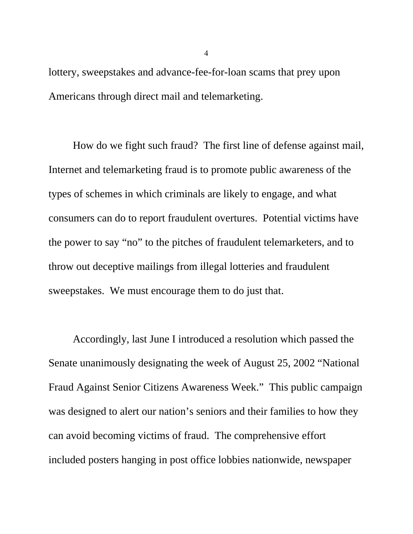lottery, sweepstakes and advance-fee-for-loan scams that prey upon Americans through direct mail and telemarketing.

How do we fight such fraud? The first line of defense against mail, Internet and telemarketing fraud is to promote public awareness of the types of schemes in which criminals are likely to engage, and what consumers can do to report fraudulent overtures. Potential victims have the power to say "no" to the pitches of fraudulent telemarketers, and to throw out deceptive mailings from illegal lotteries and fraudulent sweepstakes. We must encourage them to do just that.

Accordingly, last June I introduced a resolution which passed the Senate unanimously designating the week of August 25, 2002 "National Fraud Against Senior Citizens Awareness Week." This public campaign was designed to alert our nation's seniors and their families to how they can avoid becoming victims of fraud. The comprehensive effort included posters hanging in post office lobbies nationwide, newspaper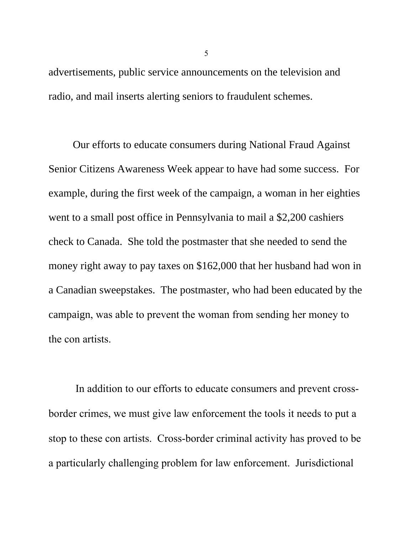advertisements, public service announcements on the television and radio, and mail inserts alerting seniors to fraudulent schemes.

Our efforts to educate consumers during National Fraud Against Senior Citizens Awareness Week appear to have had some success. For example, during the first week of the campaign, a woman in her eighties went to a small post office in Pennsylvania to mail a \$2,200 cashiers check to Canada. She told the postmaster that she needed to send the money right away to pay taxes on \$162,000 that her husband had won in a Canadian sweepstakes. The postmaster, who had been educated by the campaign, was able to prevent the woman from sending her money to the con artists.

 In addition to our efforts to educate consumers and prevent crossborder crimes, we must give law enforcement the tools it needs to put a stop to these con artists. Cross-border criminal activity has proved to be a particularly challenging problem for law enforcement. Jurisdictional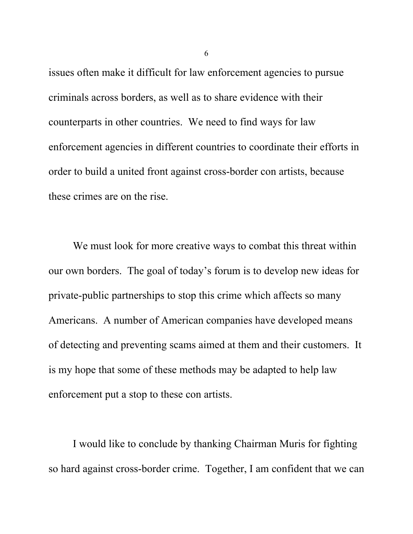issues often make it difficult for law enforcement agencies to pursue criminals across borders, as well as to share evidence with their counterparts in other countries. We need to find ways for law enforcement agencies in different countries to coordinate their efforts in order to build a united front against cross-border con artists, because these crimes are on the rise.

We must look for more creative ways to combat this threat within our own borders. The goal of today's forum is to develop new ideas for private-public partnerships to stop this crime which affects so many Americans. A number of American companies have developed means of detecting and preventing scams aimed at them and their customers. It is my hope that some of these methods may be adapted to help law enforcement put a stop to these con artists.

I would like to conclude by thanking Chairman Muris for fighting so hard against cross-border crime. Together, I am confident that we can